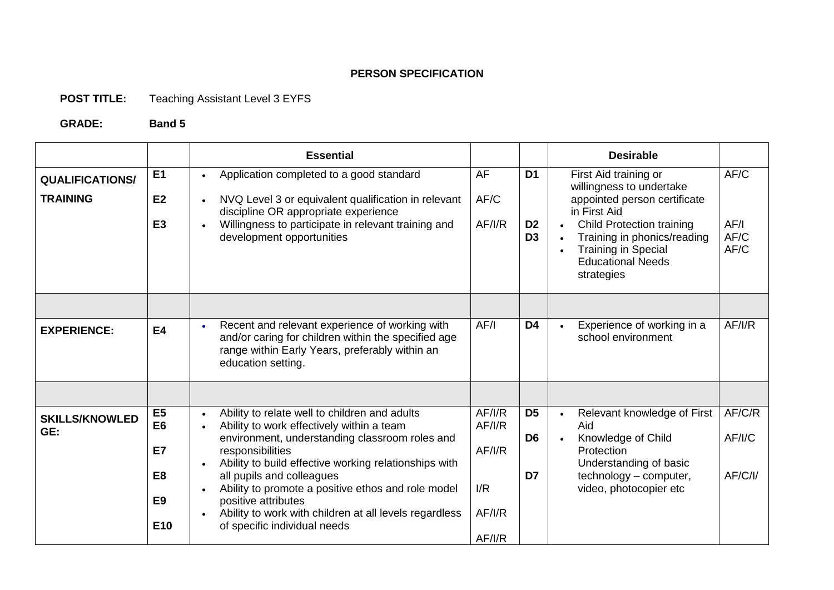## **PERSON SPECIFICATION**

## **POST TITLE:** Teaching Assistant Level 3 EYFS

## **GRADE: Band 5**

|                                           |                                                                                               | <b>Essential</b>                                                                                                                                                                                                                                                                                                                                                                                                                                        |                                                    |                                                    | <b>Desirable</b>                                                                                                                                                                                                                             |                              |
|-------------------------------------------|-----------------------------------------------------------------------------------------------|---------------------------------------------------------------------------------------------------------------------------------------------------------------------------------------------------------------------------------------------------------------------------------------------------------------------------------------------------------------------------------------------------------------------------------------------------------|----------------------------------------------------|----------------------------------------------------|----------------------------------------------------------------------------------------------------------------------------------------------------------------------------------------------------------------------------------------------|------------------------------|
| <b>QUALIFICATIONS/</b><br><b>TRAINING</b> | E <sub>1</sub><br>E2<br>E <sub>3</sub>                                                        | Application completed to a good standard<br>NVQ Level 3 or equivalent qualification in relevant<br>$\bullet$<br>discipline OR appropriate experience<br>Willingness to participate in relevant training and<br>development opportunities                                                                                                                                                                                                                | AF<br>AF/C<br>AF/I/R                               | D <sub>1</sub><br>D <sub>2</sub><br>D <sub>3</sub> | First Aid training or<br>willingness to undertake<br>appointed person certificate<br>in First Aid<br><b>Child Protection training</b><br>Training in phonics/reading<br><b>Training in Special</b><br><b>Educational Needs</b><br>strategies | AF/C<br>AF/I<br>AF/C<br>AF/C |
|                                           |                                                                                               |                                                                                                                                                                                                                                                                                                                                                                                                                                                         |                                                    |                                                    |                                                                                                                                                                                                                                              |                              |
| <b>EXPERIENCE:</b>                        | <b>E4</b>                                                                                     | Recent and relevant experience of working with<br>and/or caring for children within the specified age<br>range within Early Years, preferably within an<br>education setting.                                                                                                                                                                                                                                                                           | AF/I                                               | D <sub>4</sub>                                     | Experience of working in a<br>school environment                                                                                                                                                                                             | AF/I/R                       |
|                                           |                                                                                               |                                                                                                                                                                                                                                                                                                                                                                                                                                                         |                                                    |                                                    |                                                                                                                                                                                                                                              |                              |
| <b>SKILLS/KNOWLED</b><br>GE:              | E <sub>5</sub><br>E <sub>6</sub><br>E7<br>E <sub>8</sub><br>E <sub>9</sub><br>E <sub>10</sub> | Ability to relate well to children and adults<br>$\bullet$<br>Ability to work effectively within a team<br>environment, understanding classroom roles and<br>responsibilities<br>Ability to build effective working relationships with<br>all pupils and colleagues<br>Ability to promote a positive ethos and role model<br>$\bullet$<br>positive attributes<br>Ability to work with children at all levels regardless<br>of specific individual needs | AF/I/R<br>AF/IR<br>AF/IR<br>I/R<br>AF/IR<br>AF/I/R | D <sub>5</sub><br>D <sub>6</sub><br>D7             | Relevant knowledge of First<br>Aid<br>Knowledge of Child<br>Protection<br>Understanding of basic<br>technology - computer,<br>video, photocopier etc                                                                                         | AF/C/R<br>AF/I/C<br>AF/C/I/  |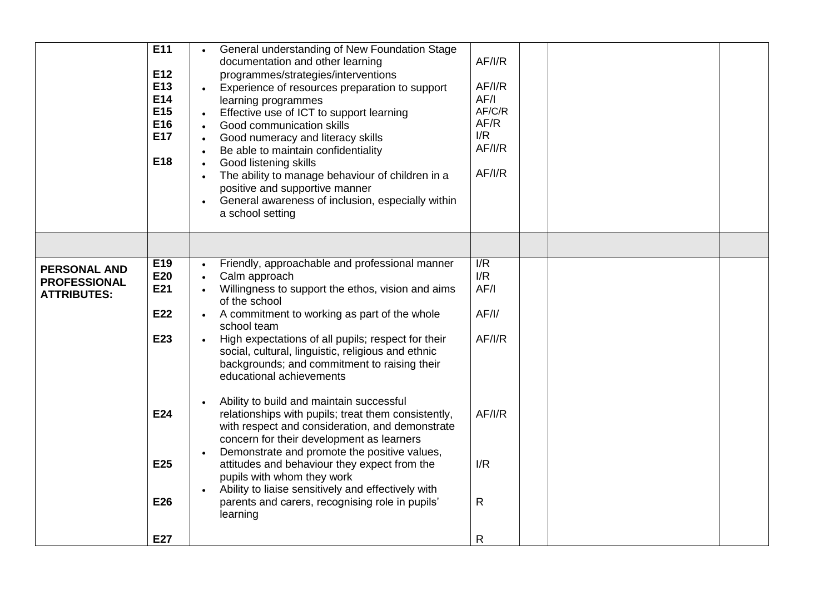|                                                                  | E11<br>E12<br>E13<br>E14<br>E <sub>15</sub><br>E16<br><b>E17</b><br>E18 | General understanding of New Foundation Stage<br>documentation and other learning<br>programmes/strategies/interventions<br>Experience of resources preparation to support<br>learning programmes<br>Effective use of ICT to support learning<br>Good communication skills<br>$\bullet$<br>Good numeracy and literacy skills<br>$\bullet$<br>Be able to maintain confidentiality<br>$\bullet$<br>Good listening skills<br>The ability to manage behaviour of children in a<br>positive and supportive manner<br>General awareness of inclusion, especially within<br>a school setting | AF/I/R<br>AF/I/R<br>AF/I<br>AF/C/R<br>AF/R<br>I/R<br>AF/I/R<br>AF/IR |  |  |
|------------------------------------------------------------------|-------------------------------------------------------------------------|---------------------------------------------------------------------------------------------------------------------------------------------------------------------------------------------------------------------------------------------------------------------------------------------------------------------------------------------------------------------------------------------------------------------------------------------------------------------------------------------------------------------------------------------------------------------------------------|----------------------------------------------------------------------|--|--|
|                                                                  |                                                                         |                                                                                                                                                                                                                                                                                                                                                                                                                                                                                                                                                                                       |                                                                      |  |  |
| <b>PERSONAL AND</b><br><b>PROFESSIONAL</b><br><b>ATTRIBUTES:</b> | E19<br>E20<br>E21<br>E22<br>E23                                         | Friendly, approachable and professional manner<br>Calm approach<br>Willingness to support the ethos, vision and aims<br>of the school<br>A commitment to working as part of the whole<br>school team<br>High expectations of all pupils; respect for their<br>social, cultural, linguistic, religious and ethnic<br>backgrounds; and commitment to raising their<br>educational achievements                                                                                                                                                                                          | $\overline{\mathsf{IR}}$<br>I/R<br>AF/I<br>AF/I/<br>AF/I/R           |  |  |
|                                                                  | E24                                                                     | Ability to build and maintain successful<br>relationships with pupils; treat them consistently,<br>with respect and consideration, and demonstrate<br>concern for their development as learners                                                                                                                                                                                                                                                                                                                                                                                       | AF/I/R                                                               |  |  |
|                                                                  | E25                                                                     | Demonstrate and promote the positive values,<br>attitudes and behaviour they expect from the<br>pupils with whom they work                                                                                                                                                                                                                                                                                                                                                                                                                                                            | I/R                                                                  |  |  |
|                                                                  | E26                                                                     | Ability to liaise sensitively and effectively with<br>parents and carers, recognising role in pupils'<br>learning                                                                                                                                                                                                                                                                                                                                                                                                                                                                     | R.                                                                   |  |  |
|                                                                  | E27                                                                     |                                                                                                                                                                                                                                                                                                                                                                                                                                                                                                                                                                                       | R                                                                    |  |  |